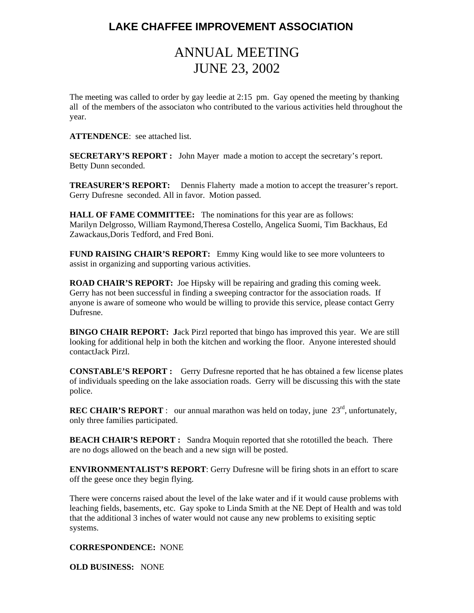## **LAKE CHAFFEE IMPROVEMENT ASSOCIATION**

## ANNUAL MEETING JUNE 23, 2002

The meeting was called to order by gay leedie at 2:15 pm. Gay opened the meeting by thanking all of the members of the associaton who contributed to the various activities held throughout the year.

**ATTENDENCE**: see attached list.

**SECRETARY'S REPORT :** John Mayer made a motion to accept the secretary's report. Betty Dunn seconded.

**TREASURER'S REPORT:** Dennis Flaherty made a motion to accept the treasurer's report. Gerry Dufresne seconded. All in favor. Motion passed.

**HALL OF FAME COMMITTEE:** The nominations for this year are as follows: Marilyn Delgrosso, William Raymond,Theresa Costello, Angelica Suomi, Tim Backhaus, Ed Zawackaus,Doris Tedford, and Fred Boni.

**FUND RAISING CHAIR'S REPORT:** Emmy King would like to see more volunteers to assist in organizing and supporting various activities.

**ROAD CHAIR'S REPORT:** Joe Hipsky will be repairing and grading this coming week. Gerry has not been successful in finding a sweeping contractor for the association roads. If anyone is aware of someone who would be willing to provide this service, please contact Gerry Dufresne.

**BINGO CHAIR REPORT: J**ack Pirzl reported that bingo has improved this year. We are still looking for additional help in both the kitchen and working the floor. Anyone interested should contactJack Pirzl.

**CONSTABLE'S REPORT :** Gerry Dufresne reported that he has obtained a few license plates of individuals speeding on the lake association roads. Gerry will be discussing this with the state police.

**REC CHAIR'S REPORT** : our annual marathon was held on today, june 23<sup>rd</sup>, unfortunately, only three families participated.

**BEACH CHAIR'S REPORT :** Sandra Moquin reported that she rototilled the beach. There are no dogs allowed on the beach and a new sign will be posted.

**ENVIRONMENTALIST'S REPORT**: Gerry Dufresne will be firing shots in an effort to scare off the geese once they begin flying.

There were concerns raised about the level of the lake water and if it would cause problems with leaching fields, basements, etc. Gay spoke to Linda Smith at the NE Dept of Health and was told that the additional 3 inches of water would not cause any new problems to exisiting septic systems.

**CORRESPONDENCE:** NONE

**OLD BUSINESS:** NONE